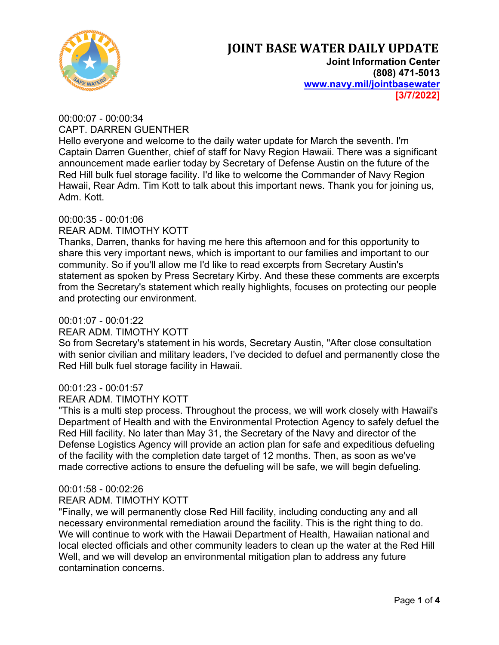

**Joint Information Center (808) 471-5013 www.navy.mil/jointbasewater [3/7/2022]**

# 00:00:07 - 00:00:34 CAPT. DARREN GUENTHER

Hello everyone and welcome to the daily water update for March the seventh. I'm Captain Darren Guenther, chief of staff for Navy Region Hawaii. There was a significant announcement made earlier today by Secretary of Defense Austin on the future of the Red Hill bulk fuel storage facility. I'd like to welcome the Commander of Navy Region Hawaii, Rear Adm. Tim Kott to talk about this important news. Thank you for joining us, Adm. Kott.

## 00:00:35 - 00:01:06

## REAR ADM. TIMOTHY KOTT

Thanks, Darren, thanks for having me here this afternoon and for this opportunity to share this very important news, which is important to our families and important to our community. So if you'll allow me I'd like to read excerpts from Secretary Austin's statement as spoken by Press Secretary Kirby. And these these comments are excerpts from the Secretary's statement which really highlights, focuses on protecting our people and protecting our environment.

## 00:01:07 - 00:01:22

## REAR ADM. TIMOTHY KOTT

So from Secretary's statement in his words, Secretary Austin, "After close consultation with senior civilian and military leaders, I've decided to defuel and permanently close the Red Hill bulk fuel storage facility in Hawaii.

## 00:01:23 - 00:01:57

## REAR ADM. TIMOTHY KOTT

"This is a multi step process. Throughout the process, we will work closely with Hawaii's Department of Health and with the Environmental Protection Agency to safely defuel the Red Hill facility. No later than May 31, the Secretary of the Navy and director of the Defense Logistics Agency will provide an action plan for safe and expeditious defueling of the facility with the completion date target of 12 months. Then, as soon as we've made corrective actions to ensure the defueling will be safe, we will begin defueling.

## 00:01:58 - 00:02:26

## REAR ADM. TIMOTHY KOTT

"Finally, we will permanently close Red Hill facility, including conducting any and all necessary environmental remediation around the facility. This is the right thing to do. We will continue to work with the Hawaii Department of Health, Hawaiian national and local elected officials and other community leaders to clean up the water at the Red Hill Well, and we will develop an environmental mitigation plan to address any future contamination concerns.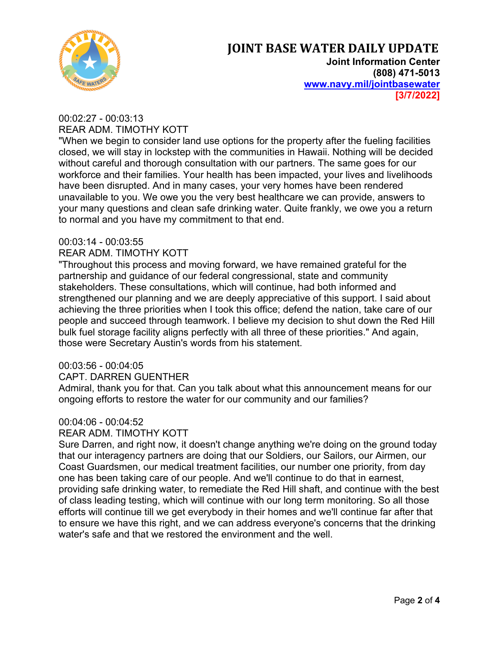

**Joint Information Center (808) 471-5013 www.navy.mil/jointbasewater [3/7/2022]**

## 00:02:27 - 00:03:13 REAR ADM. TIMOTHY KOTT

"When we begin to consider land use options for the property after the fueling facilities closed, we will stay in lockstep with the communities in Hawaii. Nothing will be decided without careful and thorough consultation with our partners. The same goes for our workforce and their families. Your health has been impacted, your lives and livelihoods have been disrupted. And in many cases, your very homes have been rendered unavailable to you. We owe you the very best healthcare we can provide, answers to your many questions and clean safe drinking water. Quite frankly, we owe you a return to normal and you have my commitment to that end.

## 00:03:14 - 00:03:55

## REAR ADM. TIMOTHY KOTT

"Throughout this process and moving forward, we have remained grateful for the partnership and guidance of our federal congressional, state and community stakeholders. These consultations, which will continue, had both informed and strengthened our planning and we are deeply appreciative of this support. I said about achieving the three priorities when I took this office; defend the nation, take care of our people and succeed through teamwork. I believe my decision to shut down the Red Hill bulk fuel storage facility aligns perfectly with all three of these priorities." And again, those were Secretary Austin's words from his statement.

## 00:03:56 - 00:04:05

## CAPT. DARREN GUENTHER

Admiral, thank you for that. Can you talk about what this announcement means for our ongoing efforts to restore the water for our community and our families?

# 00:04:06 - 00:04:52

## REAR ADM. TIMOTHY KOTT

Sure Darren, and right now, it doesn't change anything we're doing on the ground today that our interagency partners are doing that our Soldiers, our Sailors, our Airmen, our Coast Guardsmen, our medical treatment facilities, our number one priority, from day one has been taking care of our people. And we'll continue to do that in earnest, providing safe drinking water, to remediate the Red Hill shaft, and continue with the best of class leading testing, which will continue with our long term monitoring. So all those efforts will continue till we get everybody in their homes and we'll continue far after that to ensure we have this right, and we can address everyone's concerns that the drinking water's safe and that we restored the environment and the well.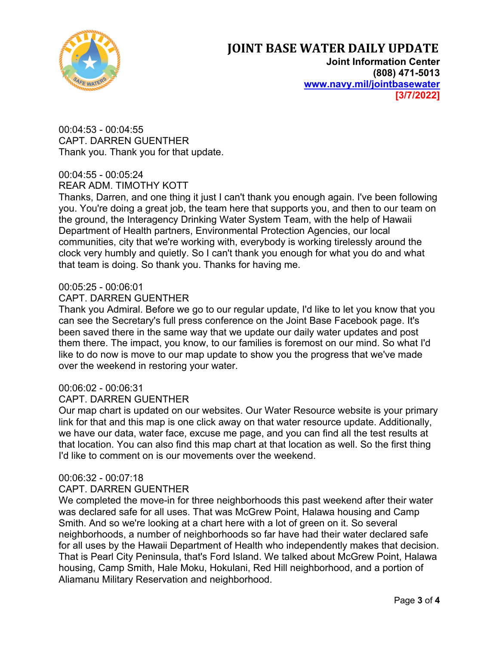

**Joint Information Center (808) 471-5013 www.navy.mil/jointbasewater [3/7/2022]**

00:04:53 - 00:04:55 CAPT. DARREN GUENTHER Thank you. Thank you for that update.

## 00:04:55 - 00:05:24 REAR ADM. TIMOTHY KOTT

Thanks, Darren, and one thing it just I can't thank you enough again. I've been following you. You're doing a great job, the team here that supports you, and then to our team on the ground, the Interagency Drinking Water System Team, with the help of Hawaii Department of Health partners, Environmental Protection Agencies, our local communities, city that we're working with, everybody is working tirelessly around the clock very humbly and quietly. So I can't thank you enough for what you do and what that team is doing. So thank you. Thanks for having me.

## 00:05:25 - 00:06:01

#### CAPT. DARREN GUENTHER

Thank you Admiral. Before we go to our regular update, I'd like to let you know that you can see the Secretary's full press conference on the Joint Base Facebook page. It's been saved there in the same way that we update our daily water updates and post them there. The impact, you know, to our families is foremost on our mind. So what I'd like to do now is move to our map update to show you the progress that we've made over the weekend in restoring your water.

## 00:06:02 - 00:06:31

#### CAPT. DARREN GUENTHER

Our map chart is updated on our websites. Our Water Resource website is your primary link for that and this map is one click away on that water resource update. Additionally, we have our data, water face, excuse me page, and you can find all the test results at that location. You can also find this map chart at that location as well. So the first thing I'd like to comment on is our movements over the weekend.

#### 00:06:32 - 00:07:18

#### CAPT. DARREN GUENTHER

We completed the move-in for three neighborhoods this past weekend after their water was declared safe for all uses. That was McGrew Point, Halawa housing and Camp Smith. And so we're looking at a chart here with a lot of green on it. So several neighborhoods, a number of neighborhoods so far have had their water declared safe for all uses by the Hawaii Department of Health who independently makes that decision. That is Pearl City Peninsula, that's Ford Island. We talked about McGrew Point, Halawa housing, Camp Smith, Hale Moku, Hokulani, Red Hill neighborhood, and a portion of Aliamanu Military Reservation and neighborhood.